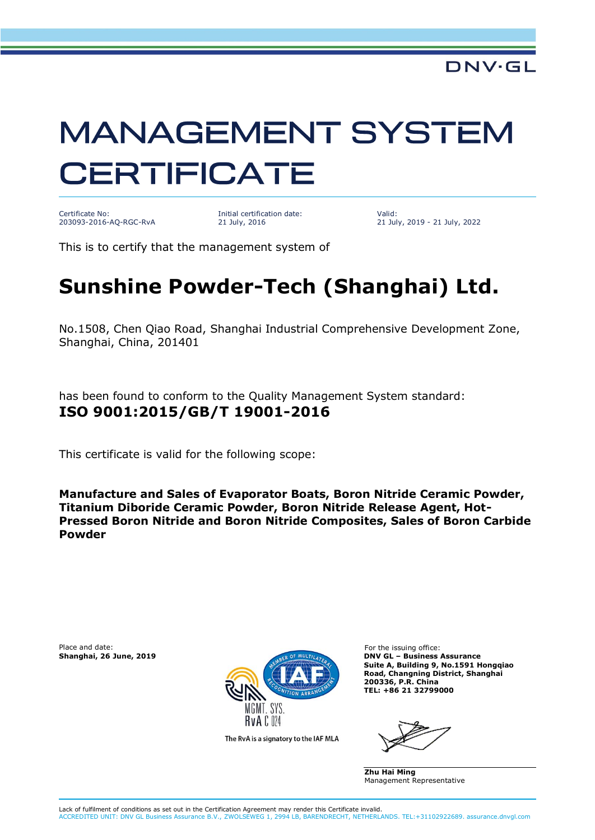# **MANAGEMENT SYSTEM CERTIFICATE**

Certificate No: 203093-2016-AQ-RGC-RvA

Initial certification date: 21 July, 2016

Valid: 21 July, 2019 - 21 July, 2022

This is to certify that the management system of

## **Sunshine Powder-Tech (Shanghai) Ltd.**

No.1508, Chen Qiao Road, Shanghai Industrial Comprehensive Development Zone, Shanghai, China, 201401

has been found to conform to the Quality Management System standard: **ISO 9001:2015/GB/T 19001-2016**

This certificate is valid for the following scope:

**Manufacture and Sales of Evaporator Boats, Boron Nitride Ceramic Powder, Titanium Diboride Ceramic Powder, Boron Nitride Release Agent, Hot-Pressed Boron Nitride and Boron Nitride Composites, Sales of Boron Carbide Powder**

Place and date: For the issuing office:<br> **Shanghai, 26 June, 2019 Example 19 Shanghai, 26 June 2019 Example 2019 Example 2019 Example 2019** 



The RvA is a signatory to the IAF MLA

**Shanghai, 26 June, 2019 DNV GL – Business Assurance Suite A, Building 9, No.1591 Hongqiao Road, Changning District, Shanghai 200336, P.R. China TEL: +86 21 32799000**

**Zhu Hai Ming** Management Representative

Lack of fulfilment of conditions as set out in the Certification Agreement may render this Certificate invalid. ACCREDITED UNIT: DNV GL Business Assurance B.V., ZWOLSEWEG 1, 2994 LB, BARENDRECHT, NETHERLANDS. TEL:+31102922689. assurance.dnvgl.com